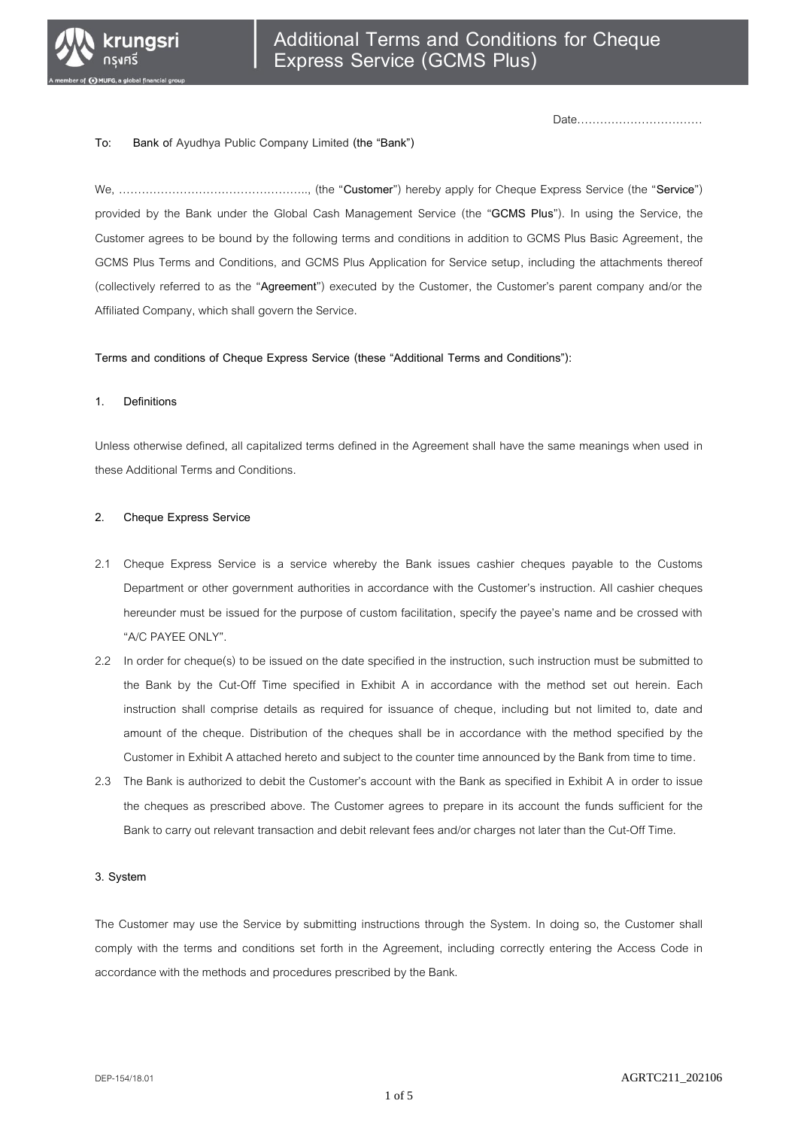

Date……………………………

#### **To: Bank of Ayudhya Public Company Limited (the "Bank")**

We, ………………………………………….., (the "**Customer**") hereby apply for Cheque Express Service (the "**Service**") provided by the Bank under the Global Cash Management Service (the "**GCMS Plus**"). In using the Service, the Customer agrees to be bound by the following terms and conditions in addition to GCMS Plus Basic Agreement, the GCMS Plus Terms and Conditions, and GCMS Plus Application for Service setup, including the attachments thereof (collectively referred to as the "**Agreement**") executed by the Customer, the Customer's parent company and/or the Affiliated Company, which shall govern the Service.

**Terms and conditions of Cheque Express Service (these "Additional Terms and Conditions"):**

#### **1. Definitions**

Unless otherwise defined, all capitalized terms defined in the Agreement shall have the same meanings when used in these Additional Terms and Conditions.

#### **2. Cheque Express Service**

- 2.1 Cheque Express Service is a service whereby the Bank issues cashier cheques payable to the Customs Department or other government authorities in accordance with the Customer's instruction. All cashier cheques hereunder must be issued for the purpose of custom facilitation, specify the payee's name and be crossed with "A/C PAYEE ONLY".
- 2.2 In order for cheque(s) to be issued on the date specified in the instruction, such instruction must be submitted to the Bank by the Cut-Off Time specified in Exhibit A in accordance with the method set out herein. Each instruction shall comprise details as required for issuance of cheque, including but not limited to, date and amount of the cheque. Distribution of the cheques shall be in accordance with the method specified by the Customer in Exhibit A attached hereto and subject to the counter time announced by the Bank from time to time.
- 2.3 The Bank is authorized to debit the Customer's account with the Bank as specified in Exhibit A in order to issue the cheques as prescribed above. The Customer agrees to prepare in its account the funds sufficient for the Bank to carry out relevant transaction and debit relevant fees and/or charges not later than the Cut-Off Time.

#### **3. System**

The Customer may use the Service by submitting instructions through the System. In doing so, the Customer shall comply with the terms and conditions set forth in the Agreement, including correctly entering the Access Code in accordance with the methods and procedures prescribed by the Bank.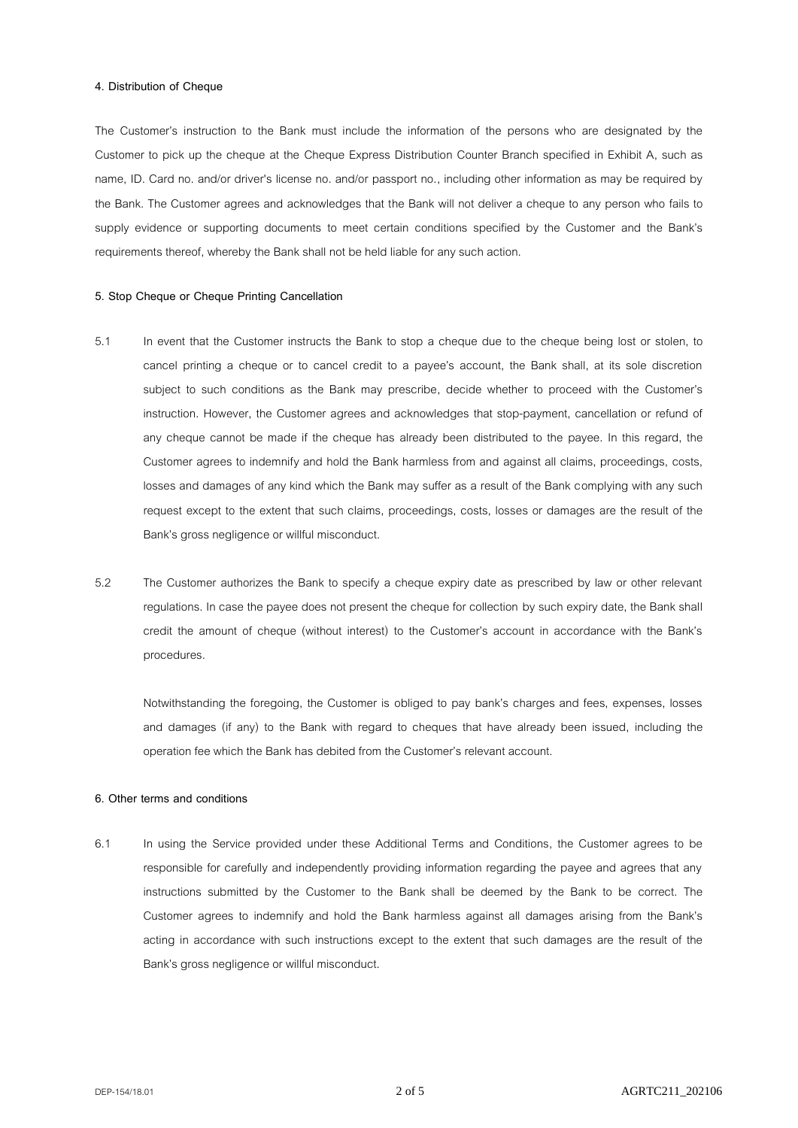#### **4. Distribution of Cheque**

The Customer's instruction to the Bank must include the information of the persons who are designated by the Customer to pick up the cheque at the Cheque Express Distribution Counter Branch specified in Exhibit A, such as name, ID. Card no. and/or driver's license no. and/or passport no., including other information as may be required by the Bank. The Customer agrees and acknowledges that the Bank will not deliver a cheque to any person who fails to supply evidence or supporting documents to meet certain conditions specified by the Customer and the Bank's requirements thereof, whereby the Bank shall not be held liable for any such action.

#### **5. Stop Cheque or Cheque Printing Cancellation**

- 5.1 In event that the Customer instructs the Bank to stop a cheque due to the cheque being lost or stolen, to cancel printing a cheque or to cancel credit to a payee's account, the Bank shall, at its sole discretion subject to such conditions as the Bank may prescribe, decide whether to proceed with the Customer's instruction. However, the Customer agrees and acknowledges that stop-payment, cancellation or refund of any cheque cannot be made if the cheque has already been distributed to the payee. In this regard, the Customer agrees to indemnify and hold the Bank harmless from and against all claims, proceedings, costs, losses and damages of any kind which the Bank may suffer as a result of the Bank complying with any such request except to the extent that such claims, proceedings, costs, losses or damages are the result of the Bank's gross negligence or willful misconduct.
- 5.2 The Customer authorizes the Bank to specify a cheque expiry date as prescribed by law or other relevant regulations. In case the payee does not present the cheque for collection by such expiry date, the Bank shall credit the amount of cheque (without interest) to the Customer's account in accordance with the Bank's procedures.

Notwithstanding the foregoing, the Customer is obliged to pay bank's charges and fees, expenses, losses and damages (if any) to the Bank with regard to cheques that have already been issued, including the operation fee which the Bank has debited from the Customer's relevant account.

### **6. Other terms and conditions**

6.1 In using the Service provided under these Additional Terms and Conditions, the Customer agrees to be responsible for carefully and independently providing information regarding the payee and agrees that any instructions submitted by the Customer to the Bank shall be deemed by the Bank to be correct. The Customer agrees to indemnify and hold the Bank harmless against all damages arising from the Bank's acting in accordance with such instructions except to the extent that such damages are the result of the Bank's gross negligence or willful misconduct.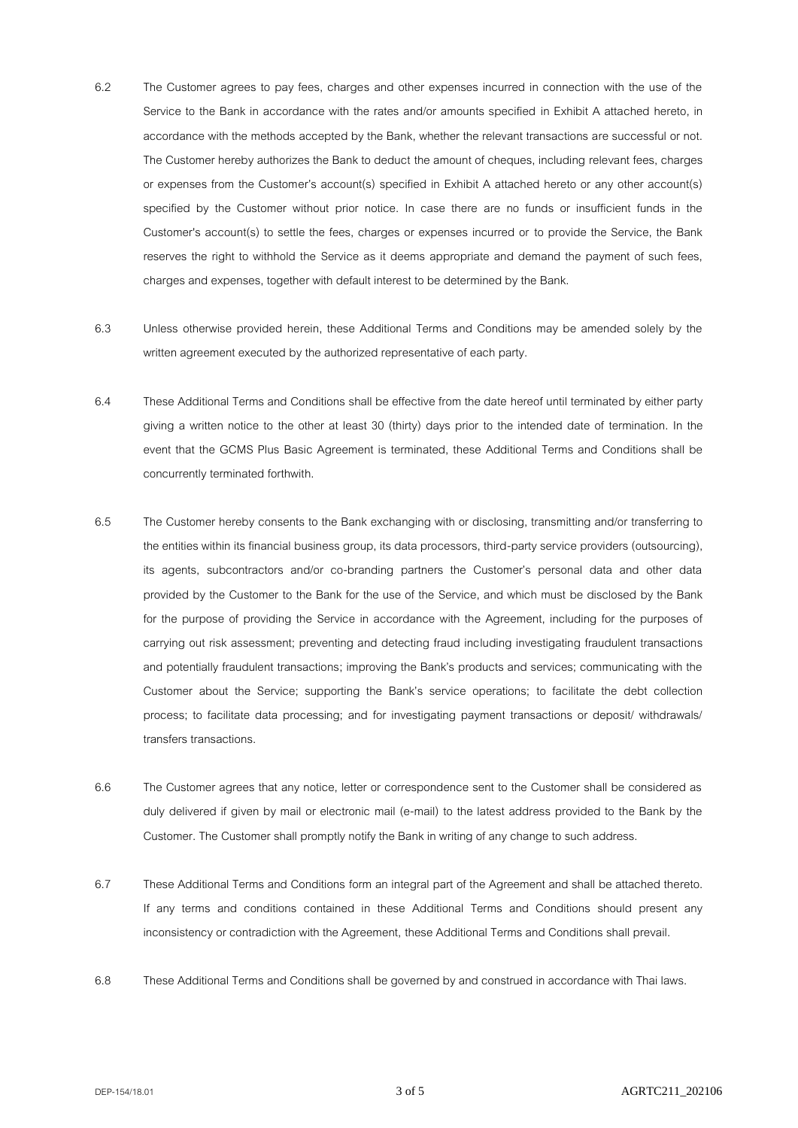- 6.2 The Customer agrees to pay fees, charges and other expenses incurred in connection with the use of the Service to the Bank in accordance with the rates and/or amounts specified in Exhibit A attached hereto, in accordance with the methods accepted by the Bank, whether the relevant transactions are successful or not. The Customer hereby authorizes the Bank to deduct the amount of cheques, including relevant fees, charges or expenses from the Customer's account(s) specified in Exhibit A attached hereto or any other account(s) specified by the Customer without prior notice. In case there are no funds or insufficient funds in the Customer's account(s) to settle the fees, charges or expenses incurred or to provide the Service, the Bank reserves the right to withhold the Service as it deems appropriate and demand the payment of such fees, charges and expenses, together with default interest to be determined by the Bank.
- 6.3 Unless otherwise provided herein, these Additional Terms and Conditions may be amended solely by the written agreement executed by the authorized representative of each party.
- 6.4 These Additional Terms and Conditions shall be effective from the date hereof until terminated by either party giving a written notice to the other at least 30 (thirty) days prior to the intended date of termination. In the event that the GCMS Plus Basic Agreement is terminated, these Additional Terms and Conditions shall be concurrently terminated forthwith.
- 6.5 The Customer hereby consents to the Bank exchanging with or disclosing, transmitting and/or transferring to the entities within its financial business group, its data processors, third-party service providers (outsourcing), its agents, subcontractors and/or co-branding partners the Customer's personal data and other data provided by the Customer to the Bank for the use of the Service, and which must be disclosed by the Bank for the purpose of providing the Service in accordance with the Agreement, including for the purposes of carrying out risk assessment; preventing and detecting fraud including investigating fraudulent transactions and potentially fraudulent transactions; improving the Bank's products and services; communicating with the Customer about the Service; supporting the Bank's service operations; to facilitate the debt collection process; to facilitate data processing; and for investigating payment transactions or deposit/ withdrawals/ transfers transactions.
- 6.6 The Customer agrees that any notice, letter or correspondence sent to the Customer shall be considered as duly delivered if given by mail or electronic mail (e-mail) to the latest address provided to the Bank by the Customer. The Customer shall promptly notify the Bank in writing of any change to such address.
- 6.7 These Additional Terms and Conditions form an integral part of the Agreement and shall be attached thereto. If any terms and conditions contained in these Additional Terms and Conditions should present any inconsistency or contradiction with the Agreement, these Additional Terms and Conditions shall prevail.
- 6.8 These Additional Terms and Conditions shall be governed by and construed in accordance with Thai laws.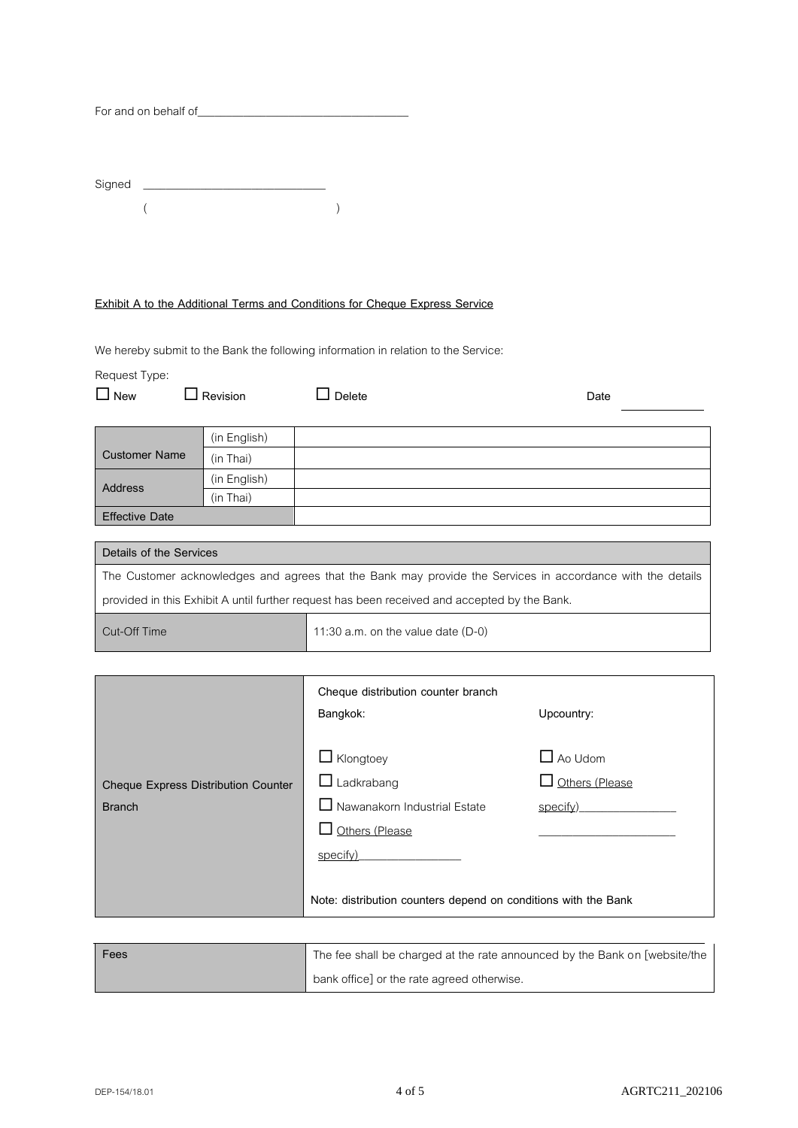| For and on behalf of |  |
|----------------------|--|
|----------------------|--|

| Signed |  |  |  |
|--------|--|--|--|
|        |  |  |  |

# **Exhibit A to the Additional Terms and Conditions for Cheque Express Service**

We hereby submit to the Bank the following information in relation to the Service:

Request Type:

| $\Box$ New            | Revision     | Delete | Date |
|-----------------------|--------------|--------|------|
|                       | (in English) |        |      |
| <b>Customer Name</b>  | (in Thai)    |        |      |
| <b>Address</b>        | (in English) |        |      |
|                       | (in Thai)    |        |      |
| <b>Effective Date</b> |              |        |      |

| Details of the Services                                                                                    |                                      |  |
|------------------------------------------------------------------------------------------------------------|--------------------------------------|--|
| The Customer acknowledges and agrees that the Bank may provide the Services in accordance with the details |                                      |  |
| provided in this Exhibit A until further request has been received and accepted by the Bank.               |                                      |  |
| Cut-Off Time                                                                                               | 11:30 a.m. on the value date $(D-0)$ |  |

|                                                      | Cheque distribution counter branch<br>Bangkok:                                                                                                                               | Upcountry:                                   |
|------------------------------------------------------|------------------------------------------------------------------------------------------------------------------------------------------------------------------------------|----------------------------------------------|
| Cheque Express Distribution Counter<br><b>Branch</b> | $\Box$ Klongtoey<br>$\Box$ Ladkrabang<br>$\Box$ Nawanakorn Industrial Estate<br>Others (Please<br>specify)<br>Note: distribution counters depend on conditions with the Bank | $\Box$ Ao Udom<br>Others (Please<br>specify) |

| Fees | The fee shall be charged at the rate announced by the Bank on [website/the |
|------|----------------------------------------------------------------------------|
|      | bank office] or the rate agreed otherwise.                                 |